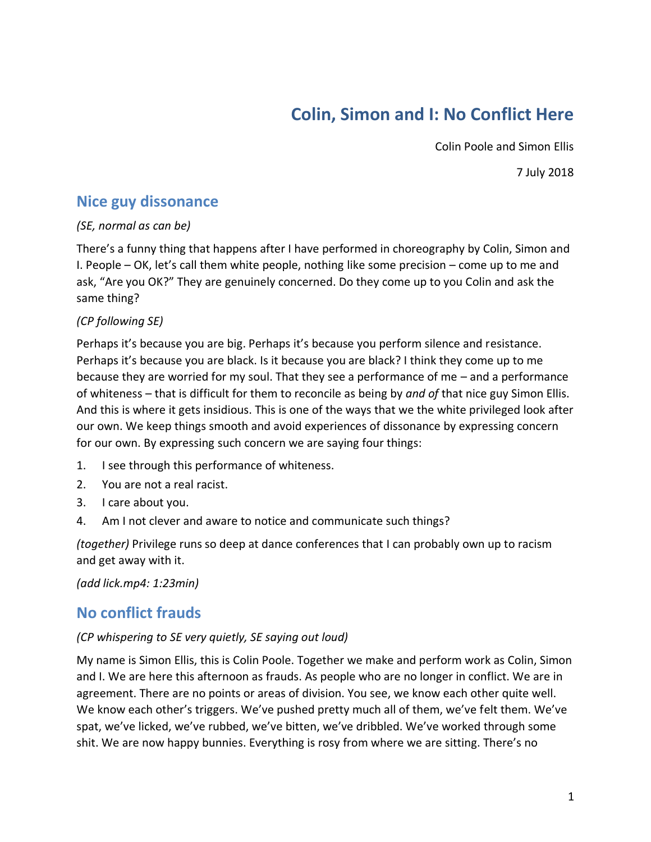# **Colin, Simon and I: No Conflict Here**

Colin Poole and Simon Ellis

7 July 2018

## **Nice guy dissonance**

#### *(SE, normal as can be)*

There's a funny thing that happens after I have performed in choreography by Colin, Simon and I. People – OK, let's call them white people, nothing like some precision – come up to me and ask, "Are you OK?" They are genuinely concerned. Do they come up to you Colin and ask the same thing?

#### *(CP following SE)*

Perhaps it's because you are big. Perhaps it's because you perform silence and resistance. Perhaps it's because you are black. Is it because you are black? I think they come up to me because they are worried for my soul. That they see a performance of me – and a performance of whiteness – that is difficult for them to reconcile as being by *and of* that nice guy Simon Ellis. And this is where it gets insidious. This is one of the ways that we the white privileged look after our own. We keep things smooth and avoid experiences of dissonance by expressing concern for our own. By expressing such concern we are saying four things:

- 1. I see through this performance of whiteness.
- 2. You are not a real racist.
- 3. I care about you.
- 4. Am I not clever and aware to notice and communicate such things?

*(together)* Privilege runs so deep at dance conferences that I can probably own up to racism and get away with it.

*(add lick.mp4: 1:23min)*

### **No conflict frauds**

#### *(CP whispering to SE very quietly, SE saying out loud)*

My name is Simon Ellis, this is Colin Poole. Together we make and perform work as Colin, Simon and I. We are here this afternoon as frauds. As people who are no longer in conflict. We are in agreement. There are no points or areas of division. You see, we know each other quite well. We know each other's triggers. We've pushed pretty much all of them, we've felt them. We've spat, we've licked, we've rubbed, we've bitten, we've dribbled. We've worked through some shit. We are now happy bunnies. Everything is rosy from where we are sitting. There's no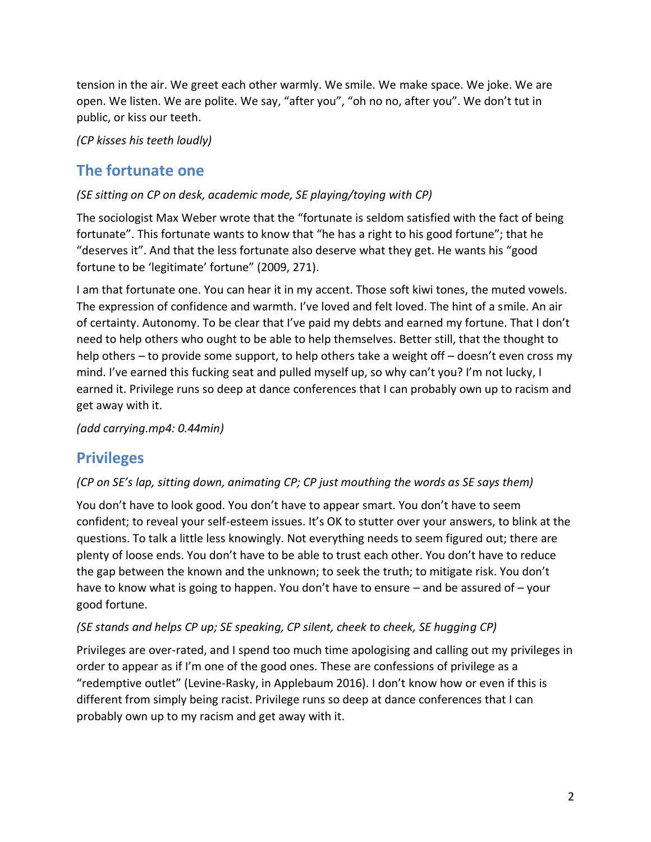tension in the air. We greet each other warmly. We smile. We make space. We joke. We are open. We listen. We are polite. We say, "after you", "oh no no, after you". We don't tut in public, or kiss our teeth.

*(CP kisses his teeth loudly)*

# **The fortunate one**

#### *(SE sitting on CP on desk, academic mode, SE playing/toying with CP)*

The sociologist Max Weber wrote that the "fortunate is seldom satisfied with the fact of being fortunate". This fortunate wants to know that "he has a right to his good fortune"; that he "deserves it". And that the less fortunate also deserve what they get. He wants his "good fortune to be 'legitimate' fortune" (2009, 271).

I am that fortunate one. You can hear it in my accent. Those soft kiwi tones, the muted vowels. The expression of confidence and warmth. I've loved and felt loved. The hint of a smile. An air of certainty. Autonomy. To be clear that I've paid my debts and earned my fortune. That I don't need to help others who ought to be able to help themselves. Better still, that the thought to help others – to provide some support, to help others take a weight off – doesn't even cross my mind. I've earned this fucking seat and pulled myself up, so why can't you? I'm not lucky, I earned it. Privilege runs so deep at dance conferences that I can probably own up to racism and get away with it.

*(add carrying.mp4: 0.44min)*

# **Privileges**

#### *(CP on SE's lap, sitting down, animating CP; CP just mouthing the words as SE says them)*

You don't have to look good. You don't have to appear smart. You don't have to seem confident; to reveal your self-esteem issues. It's OK to stutter over your answers, to blink at the questions. To talk a little less knowingly. Not everything needs to seem figured out; there are plenty of loose ends. You don't have to be able to trust each other. You don't have to reduce the gap between the known and the unknown; to seek the truth; to mitigate risk. You don't have to know what is going to happen. You don't have to ensure – and be assured of – your good fortune.

#### *(SE stands and helps CP up; SE speaking, CP silent, cheek to cheek, SE hugging CP)*

Privileges are over-rated, and I spend too much time apologising and calling out my privileges in order to appear as if I'm one of the good ones. These are confessions of privilege as a "redemptive outlet" (Levine-Rasky, in Applebaum 2016). I don't know how or even if this is different from simply being racist. Privilege runs so deep at dance conferences that I can probably own up to my racism and get away with it.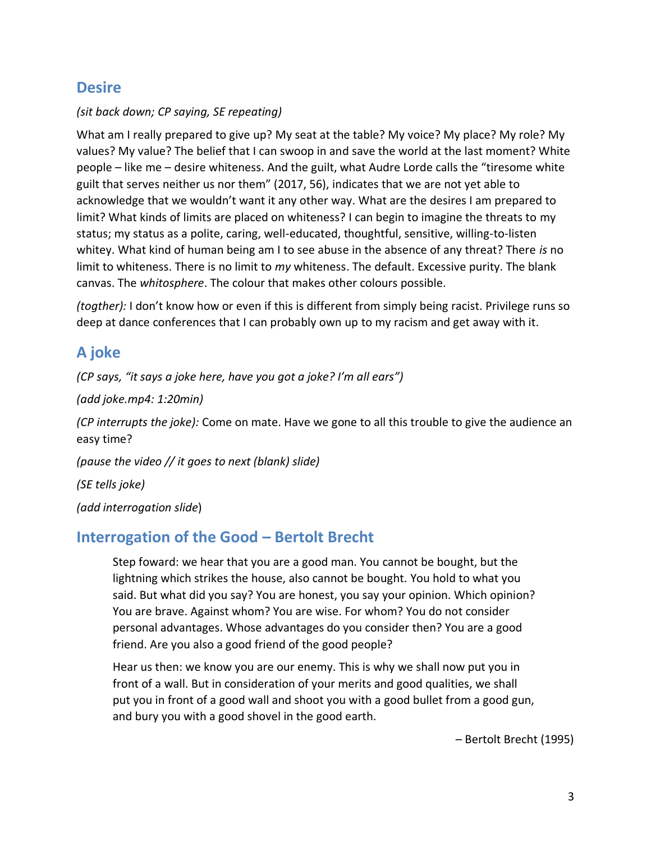# **Desire**

#### *(sit back down; CP saying, SE repeating)*

What am I really prepared to give up? My seat at the table? My voice? My place? My role? My values? My value? The belief that I can swoop in and save the world at the last moment? White people – like me – desire whiteness. And the guilt, what Audre Lorde calls the "tiresome white guilt that serves neither us nor them" (2017, 56), indicates that we are not yet able to acknowledge that we wouldn't want it any other way. What are the desires I am prepared to limit? What kinds of limits are placed on whiteness? I can begin to imagine the threats to my status; my status as a polite, caring, well-educated, thoughtful, sensitive, willing-to-listen whitey. What kind of human being am I to see abuse in the absence of any threat? There *is* no limit to whiteness. There is no limit to *my* whiteness. The default. Excessive purity. The blank canvas. The *whitosphere*. The colour that makes other colours possible.

*(togther):* I don't know how or even if this is different from simply being racist. Privilege runs so deep at dance conferences that I can probably own up to my racism and get away with it.

# **A joke**

*(CP says, "it says a joke here, have you got a joke? I'm all ears")*

*(add joke.mp4: 1:20min)*

*(CP interrupts the joke):* Come on mate. Have we gone to all this trouble to give the audience an easy time?

*(pause the video // it goes to next (blank) slide)*

*(SE tells joke)*

*(add interrogation slide*)

### **Interrogation of the Good – Bertolt Brecht**

Step foward: we hear that you are a good man. You cannot be bought, but the lightning which strikes the house, also cannot be bought. You hold to what you said. But what did you say? You are honest, you say your opinion. Which opinion? You are brave. Against whom? You are wise. For whom? You do not consider personal advantages. Whose advantages do you consider then? You are a good friend. Are you also a good friend of the good people?

Hear us then: we know you are our enemy. This is why we shall now put you in front of a wall. But in consideration of your merits and good qualities, we shall put you in front of a good wall and shoot you with a good bullet from a good gun, and bury you with a good shovel in the good earth.

– Bertolt Brecht (1995)